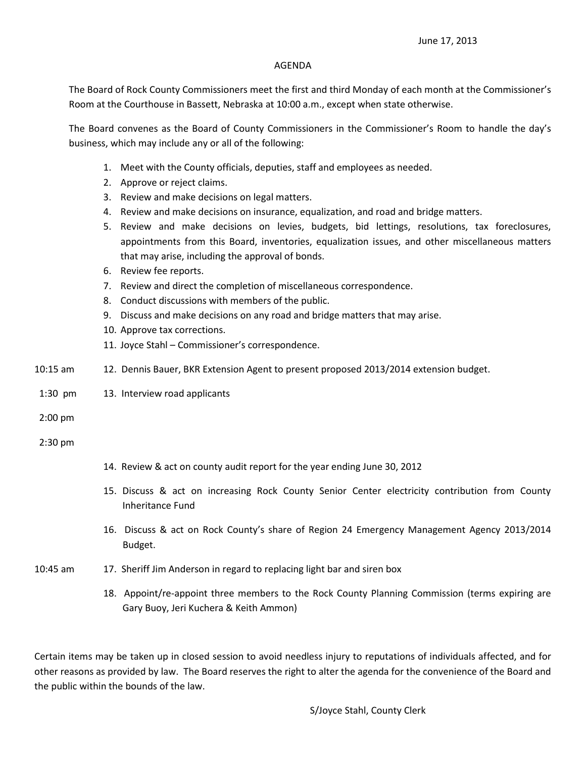## AGENDA

The Board of Rock County Commissioners meet the first and third Monday of each month at the Commissioner's Room at the Courthouse in Bassett, Nebraska at 10:00 a.m., except when state otherwise.

The Board convenes as the Board of County Commissioners in the Commissioner's Room to handle the day's business, which may include any or all of the following:

- 1. Meet with the County officials, deputies, staff and employees as needed.
- 2. Approve or reject claims.
- 3. Review and make decisions on legal matters.
- 4. Review and make decisions on insurance, equalization, and road and bridge matters.
- 5. Review and make decisions on levies, budgets, bid lettings, resolutions, tax foreclosures, appointments from this Board, inventories, equalization issues, and other miscellaneous matters that may arise, including the approval of bonds.
- 6. Review fee reports.
- 7. Review and direct the completion of miscellaneous correspondence.
- 8. Conduct discussions with members of the public.
- 9. Discuss and make decisions on any road and bridge matters that may arise.
- 10. Approve tax corrections.
- 11. Joyce Stahl Commissioner's correspondence.
- 10:15 am 12. Dennis Bauer, BKR Extension Agent to present proposed 2013/2014 extension budget.
- 1:30 pm 13. Interview road applicants

2:00 pm

2:30 pm

- 14. Review & act on county audit report for the year ending June 30, 2012
- 15. Discuss & act on increasing Rock County Senior Center electricity contribution from County Inheritance Fund
- 16. Discuss & act on Rock County's share of Region 24 Emergency Management Agency 2013/2014 Budget.
- 10:45 am 17. Sheriff Jim Anderson in regard to replacing light bar and siren box
	- 18. Appoint/re-appoint three members to the Rock County Planning Commission (terms expiring are Gary Buoy, Jeri Kuchera & Keith Ammon)

Certain items may be taken up in closed session to avoid needless injury to reputations of individuals affected, and for other reasons as provided by law. The Board reserves the right to alter the agenda for the convenience of the Board and the public within the bounds of the law.

S/Joyce Stahl, County Clerk